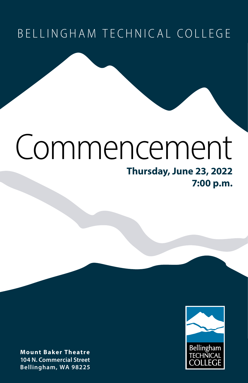## BELLINGHAM TECHNICAL COLLEGE

# Commencement

### **Thursday, June 23, 2022 7:00 p.m.**



**Mount Baker Theatre 104 N. Commercial Street Bellingham, WA 98225**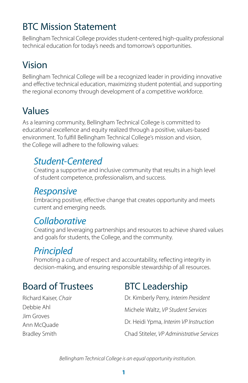## BTC Mission Statement

Bellingham Technical College provides student-centered, high-quality professional technical education for today's needs and tomorrow's opportunities.

## Vision

Bellingham Technical College will be a recognized leader in providing innovative and effective technical education, maximizing student potential, and supporting the regional economy through development of a competitive workforce.

## Values

As a learning community, Bellingham Technical College is committed to educational excellence and equity realized through a positive, values-based environment. To fulfill Bellingham Technical College's mission and vision, the College will adhere to the following values:

### *Student-Centered*

Creating a supportive and inclusive community that results in a high level of student competence, professionalism, and success.

### *Responsive*

Embracing positive, effective change that creates opportunity and meets current and emerging needs.

## *Collaborative*

Creating and leveraging partnerships and resources to achieve shared values and goals for students, the College, and the community.

## *Principled*

Promoting a culture of respect and accountability, reflecting integrity in decision-making, and ensuring responsible stewardship of all resources.

## Board of Trustees

#### Richard Kaiser*, Chair* Debbie Ahl Jim Groves Ann McQuade Bradley Smith

## BTC Leadership

Dr. Kimberly Perry, *Interim President* Michele Waltz, *VP Student Services* Dr. Heidi Ypma, *Interim VP Instruction* Chad Stiteler, *VP Administrative Services*

*Bellingham Technical College is an equal opportunity institution.*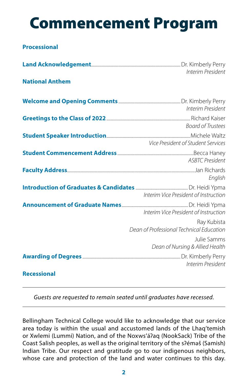## Commencement Program

#### **Processional**

|                        | Interim President                                       |
|------------------------|---------------------------------------------------------|
| <b>National Anthem</b> |                                                         |
|                        | Interim President                                       |
|                        | Board of Trustees                                       |
|                        | Vice President of Student Services                      |
|                        | ASBTC President                                         |
|                        | English                                                 |
|                        | Interim Vice President of Instruction                   |
|                        | Interim Vice President of Instruction                   |
|                        | Ray Kubista<br>Dean of Professional Technical Education |
|                        | Julie Samms<br>Dean of Nursing & Allied Health          |
|                        | Interim President                                       |

#### **Recessional**

*Guests are requested to remain seated until graduates have recessed.*

Bellingham Technical College would like to acknowledge that our service area today is within the usual and accustomed lands of the Lhaq'temish or Xwlemi (Lummi) Nation, and of the Noxws'áʔaq (NookSack) Tribe of the Coast Salish peoples, as well as the original territory of the sʔémǝš (Samish) Indian Tribe. Our respect and gratitude go to our indigenous neighbors, whose care and protection of the land and water continues to this day.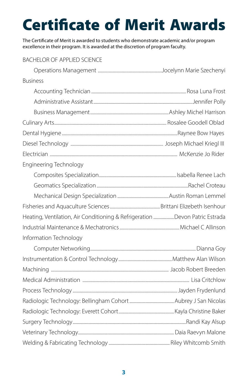## Certificate of Merit Awards

The Certificate of Merit is awarded to students who demonstrate academic and/or program excellence in their program. It is awarded at the discretion of program faculty.

#### BACHELOR OF APPLIED SCIENCE

| <b>Business</b>                                                             |  |
|-----------------------------------------------------------------------------|--|
|                                                                             |  |
|                                                                             |  |
|                                                                             |  |
|                                                                             |  |
|                                                                             |  |
|                                                                             |  |
|                                                                             |  |
| Engineering Technology                                                      |  |
|                                                                             |  |
|                                                                             |  |
|                                                                             |  |
|                                                                             |  |
| Heating, Ventilation, Air Conditioning & Refrigeration Devon Patric Estrada |  |
|                                                                             |  |
| Information Technology                                                      |  |
|                                                                             |  |
|                                                                             |  |
|                                                                             |  |
|                                                                             |  |
|                                                                             |  |
|                                                                             |  |
|                                                                             |  |
|                                                                             |  |
|                                                                             |  |
|                                                                             |  |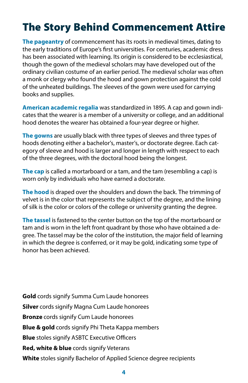## The Story Behind Commencement Attire

**The pageantry** of commencement has its roots in medieval times, dating to the early traditions of Europe's first universities. For centuries, academic dress has been associated with learning. Its origin is considered to be ecclesiastical, though the gown of the medieval scholars may have developed out of the ordinary civilian costume of an earlier period. The medieval scholar was often a monk or clergy who found the hood and gown protection against the cold of the unheated buildings. The sleeves of the gown were used for carrying books and supplies.

**American academic regalia** was standardized in 1895. A cap and gown indicates that the wearer is a member of a university or college, and an additional hood denotes the wearer has obtained a four-year degree or higher.

**The gowns** are usually black with three types of sleeves and three types of hoods denoting either a bachelor's, master's, or doctorate degree. Each category of sleeve and hood is larger and longer in length with respect to each of the three degrees, with the doctoral hood being the longest.

**The cap** is called a mortarboard or a tam, and the tam (resembling a cap) is worn only by individuals who have earned a doctorate.

**The hood** is draped over the shoulders and down the back. The trimming of velvet is in the color that represents the subject of the degree, and the lining of silk is the color or colors of the college or university granting the degree.

**The tassel** is fastened to the center button on the top of the mortarboard or tam and is worn in the left front quadrant by those who have obtained a degree. The tassel may be the color of the institution, the major field of learning in which the degree is conferred, or it may be gold, indicating some type of honor has been achieved.

**Gold** cords signify Summa Cum Laude honorees **Silver** cords signify Magna Cum Laude honorees **Bronze** cords signify Cum Laude honorees **Blue & gold** cords signify Phi Theta Kappa members **Blue** stoles signify ASBTC Executive Officers **Red, white & blue** cords signify Veterans **White** stoles signify Bachelor of Applied Science degree recipients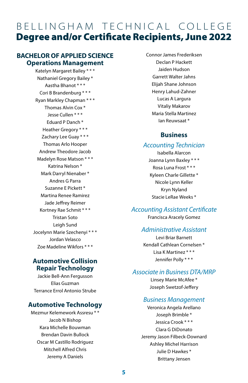## BELLINGHAM TECHNICAL COLLEGE Degree and/or Certificate Recipients, June 2022

#### **BACHELOR OF APPLIED SCIENCE Operations Management**

Katelyn Margaret Bailey \* \* \* Nathaniel Gregory Bailey \* Aastha Bhanot \* \* \* Cori B Brandenburg \* \* \* Ryan Markley Chapman \* \* \* Thomas Alvin Cox \* Jesse Cullen \* \* \* Eduard P Danch \* Heather Gregory \* \* \* Zachary Lee Guay \* \* \* Thomas Arlo Hooper Andrew Theodore Jacob Madelyn Rose Matson \* \* \* Katrina Nelson \* Mark Darryl Nienaber \* Andres G Parra Suzanne E Pickett \* Martina Renee Ramirez Jade Jeffrey Reimer Kortney Rae Schmit \* \* \* Tristan Soto Leigh Sund Jocelynn Marie Szechenyi \* \* \* Jordan Velasco Zoe Madeline Wikfors \* \* \*

#### **Automotive Collision Repair Technology**

Jackie Bell-Ann Fergusson Elias Guzman Terrance Errol Antonio Strube

#### **Automotive Technology**

Mezmur Kelemework Assresu \* \* Jacob N Bishop Kara Michelle Bouwman Brendan Davin Bullock Oscar M Castillo Rodriguez Mitchell Alfred Chris Jeremy A Daniels

Connor James Frederiksen Declan P Hackett Jaiden Hudson Garrett Walter Jahns Elijah Shane Johnson Henry Lahud-Zahner Lucas A Largura Vitaliy Makarov Maria Stella Martinez Ian Reuwsaat \*

#### **Business**

#### *Accounting Technician*

Isabella Alarcon Joanna Lynn Baxley \* \* \* Rosa Luna Frost \* \* \* Kyleen Charle Gillette \* Nicole Lynn Keller Kryn Nyland Stacie LeRae Weeks \*

#### *Accounting Assistant Certificate*

Francisca Aracely Gomez

#### *Administrative Assistant*

Levi Briar Barnett Kendall Cathlean Cornelsen \* Lisa K Martinez \* \* \* Jennifer Polly \* \* \*

#### *Associate in Business DTA/MRP*

Linsey Marie McAfee \* Joseph Swetzof-Jeffery

#### *Business Management*

Veronica Angela Arellano Joseph Brimble \* Jessica Crook \* \* \* Clara G DiDonato Jeremy Jason Filbeck-Downard Ashley Michel Harrison Julie D Hawkes \* Brittany Jensen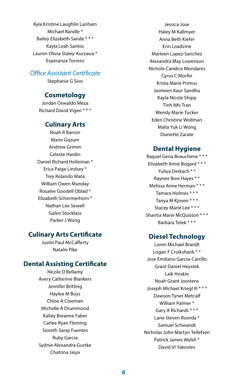Kyla Kristine Laughlin Lanham Michael Randle \* Bailey Elizabeth Sande \* \* \* Kayla Leah Santos Lauren Olivia Staley-Kurzawa \* Esperanza Torrero

#### *Office Assistant Certificate*

Stephanie G Sivo

#### **Cosmetology**

Jordan Oswaldo Meza Richard David Vigen \* \* \*

#### **Culinary Arts**

Noah R Barron Marie Gozum Andrew Grimm Celeste Hardin Daniel Richard Holleman \* Erica Paige Lindsey \* Trey Rolando Mata William Owen Munday Rosalee Goodell Oblad \* Elizabeth Schermerhorn \* Nathan Lee Sewell Galen Stocklass Parker J Wong

#### **Culinary Arts Certificate**

Justin Paul McCafferty Natalie Pike

#### **Dental Assisting Certificate**

Nicole D Bellamy Avery Catherine Blankers Jennifer Britting Haylee M Buys Chloe A Cowman Michelle A Drummond Kaliey Breanne Faber Carlee Ryan Fleming Sioreth Saray Fuentes Ruby Garcia Sydnie Alexandra Gustke Chatrina Jaiya

Jessica Jose Haley M Kallmyer Anna Beth Kiefer Erin Loadvine Marleen Lopez-Sanchez Alexandra May Lowenson Nichole Candice Mondares Cyrus C Morfin Krista Marie Primus Jasmeen Kaur Sandhu Kayla Nicole Shipp Tinh Nhi Tran Wendy Marie Tucker Eden Christine Wollman Malia Yuk Li Wong Dianette Zarate

#### **Dental Hygiene**

Raquel Gena Beauchene \* \* \* Elizabeth Anne Bogard \* \* \* Yuliya Derkach \* \* Raynee Bow Hayes \* \* Melissa Anne Herman \* \* \* Tamara Holmes \* \* \* Tanya M Kjosen \* \* \* Stacey Marie Lee \* \* \* Shantia Marie McQuiston \* \* \* Barbara Telek \* \* \*

#### **Diesel Technology**

Loren Michael Brandt Logan F Cruikshank \* \* Jose Emiliano Garcia-Carrillo Grant Daniel Heystek Laik Hoskin Noah Grant Joostens Joseph Michael Kriegl III \* \* \* Dawson Tyner Metcalf William Palmer \* Gary A Richards \* \* \* Lane Steven Roorda \* Samuel Schwandt Nicholas John Martyn Tellefsen Patrick James Welsh \* David VI Yakovlev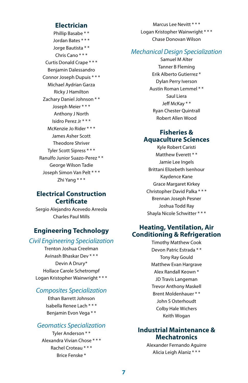#### **Electrician**

Phillip Basabe \* \* Jordan Bates \* \* \* Jorge Bautista \* \* Chris Cano \* \* \* Curtis Donald Crape \* \* \* Benjamin Dalessandro Connor Joseph Dupuis \* \* \* Michael Aydrian Garza Ricky J Hamilton Zachary Daniel Johnson \* \* Joseph Meier \* \* \* Anthony J North Isidro Perez Jr \* \* \* McKenzie Jo Rider \* \* \* James Asher Scott Theodore Shriver Tyler Scott Sipress \* \* \* Ranulfo Junior Suazo-Perez \* \* George Wilson Tadie Joseph Simon Van Pelt \* \* \* Zhi Yang \* \* \*

#### **Electrical Construction Certificate**

Sergio Alejandro Acevedo Arreola Charles Paul Mills

#### **Engineering Technology**

#### *Civil Engineering Specialization*

Trenton Joshua Creelman Avinash Bhaskar Dev \* \* \* Devin A Drury\* Hollace Carole Schetrompf Logan Kristopher Wainwright \* \* \*

#### *Composites Specialization*

Ethan Barrett Johnson Isabella Renee Lach \* \* \* Benjamin Evon Vega \* \*

#### *Geomatics Specialization*

Tyler Anderson \* \* Alexandra Vivian Chose \* \* \* Rachel Croteau \* \* \* Brice Fenske \*

Marcus Lee Nevitt \* \* \* Logan Kristopher Wainwright \* \* \* Chase Donovan Wilson

#### *Mechanical Design Specialization*

Samuel M Alter Tanner B Fleming Erik Alberto Gutierrez \* Dylan Perry Iverson Austin Roman Lemmel \* \* Saul Liera Jeff McKay \* \* Ryan Chester Quintrall Robert Allen Wood

#### **Fisheries & Aquaculture Sciences**

Kyle Robert Caristi Matthew Everett \* \* Jamie Lee Ingels Brittani Elizebeth Isenhour Kaydence Kane Grace Margaret Kirkey Christopher David Palka \* \* \* Brennan Joseph Pesner Joshua Todd Ray Shayla Nicole Schwitter \* \* \*

#### **Heating, Ventilation, Air Conditioning & Refrigeration**

Timothy Matthew Cook Devon Patric Estrada \* \* Tony Ray Gould Matthew Evan Hargrave Alex Randall Keown \* JD Travis Langeman Trevor Anthony Maskell Brent Moldenhauer \* \* John S Osterhoudt Colby Hale Wichers Keith Wogan

#### **Industrial Maintenance & Mechatronics**

Alexander Fernando Aguirre Alicia Leigh Alaniz \* \* \*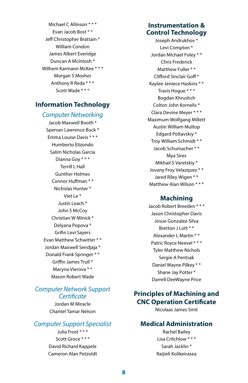Michael C Allinson \* \* \* Evan Jacob Bost \* \* Jeff Christopher Brattain \* William Condon James Albert Everidge Duncan A McIntosh \* Wilhem Karmann McKee \* \* \* Morgan S Mosher Anthony R Reda \* \* \* Scott Wade \* \* \*

#### **Information Technology**

#### *Computer Networking*

Jacob Maxwell Booth \* Spenser Lawrence Buck \* Emma Louise Davis \* \* \* Humberto Elizondo Salim Nicholas Garcia Dianna Goy \* \* \* Terrill L Hall Gunther Holmes Connor Huffman \* \* Nicholas Hunter \* Viet Le \* Justin Leach \* John S McCoy Christian W Minick \* Delyana Popova \* Grifin Levi Sayers Evan Matthew Schwitter \* \* Jordan Maxwell Sendjaja \* Donald Frank Springer \* \* Griffin James Trull \* Maryna Vierova \* \* Mason Robert Wade

#### *Computer Network Support Certificate*

Jordan M Miracle Chantel Tamar Nelson

#### *Computer Support Specialist*

Julia Frost \* \* \* Scott Groce \* \* \* David Richard Kappele Cameron Alan Petzoldt

#### **Instrumentation & Control Technology**

Joseph Andrukhov \* Levi Compton \* Jordan Michael Foley \* \* Chris Frederick Matthew Fuller \* \* Clifford Sinclair Goff \* Kaylee Jeniece Haskins \* \* Travis Hogue \* \* \* Bogdan Khrushch Colton John Kornelis \* Clara Devine Meyer \* \* \* Maximum Wolfgang Millett Austin William Multop Edgard Poltavskiy \* Troy William Schmidt \* \* Jacob Schumacher \* \* Mya Sires Mikhail S Varetskiy \* Jovany Froy Velazquez \* \* Jared Riley Wigen \* \* Matthew Alan Wilson \* \* \*

#### **Machining**

Jacob Robert Breeden \* \* \* Jason Christopher Davis Josue Gonzalez-Silva Bretton J Lott \* \* Alexander L Martin \* \* Patric Royce Neevel \* \* \* Tyler Matthew Nichols Sergie A Pentsak Daniel Wayne Pilkey \* \* Shane Jay Potter \* Darrell DeeWayne Price

#### **Principles of Machining and CNC Operation Certificate**

Nicolaas James Smit

#### **Medical Administration**

Rachel Bailey Lisa Critchlow \* \* \* Sarah Jacklin \* Raijieli Kolikeirasea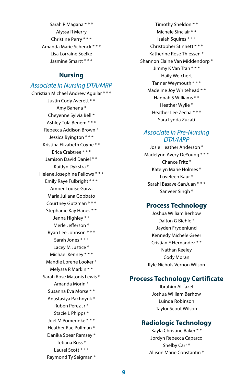Sarah R Magana \* \* \* Alyssa R Merry Christine Perry \* \* \* Amanda Marie Schenck \* \* \* Lisa Lorraine Seelke Jasmine Smartt \* \* \*

#### **Nursing**

#### *Associate in Nursing DTA/MRP*

Christian Michael Andrew Aguilar \* \* \* Justin Cody Averett \* \* Amy Bahena \* Cheyenne Sylvia Bell \* Ashley Tula Benem \* \* \* Rebecca Addison Brown \* Jessica Byington \* \* \* Kristina Elizabeth Coyne \* \* Erica Crabtree \* \* \* Jamison David Daniel \* \* Kaitlyn Dykstra \* Helene Josephine Fellows \* \* \* Emily Raye Fulbright \* \* \* Amber Louise Garza Maria Juliana Gobbato Courtney Gutzman \* \* \* Stephanie Kay Hanes \* \* Jenna Highley \* \* Merle Jefferson \* Ryan Lee Johnson \* \* \* Sarah Jones \* \* \* Lacey M Justice \* Michael Kenney \* \* \* Mandie Lorene Looker \* Melyssa R Markin \* \* Sarah Rose Matonis Lewis \* Amanda Morin \* Susanna Eva Morse \* \* Anastasiya Pakhnyuk \* Ruben Perez Jr \* Stacie L Phipps \* Joel M Pomerinke \* \* \* Heather Rae Pullman \* Danika Spear Ramsey \* Tetiana Ross \* Laurel Scott \* \* \* Raymond Ty Seigman \*

Timothy Sheldon \* \* Michele Sinclair \* \* Isaiah Squires \* \* \* Christopher Stinnett \* \* \* Katherine Rose Thiessen \* Shannon Elaine Van Middendorp \* Jimmy K Van Tran \* \* \* Haily Welchert Tanner Weymouth \* \* \* Madeline Joy Whitehead \* \* Hannah S Williams \* \* Heather Wylie \* Heather Lee Zecha \* \* \* Sara Lynda Zucati

#### *Associate in Pre-Nursing DTA/MRP*

Josie Heather Anderson \* Madelynn Avery DeYoung \* \* \* Chance Fritz \* Katelyn Marie Holmes \* Loveleen Kaur \* Sarahi Basave-SanJuan \* \* \* Sanveer Singh \*

#### **Process Technology**

Joshua William Berhow Dalton G Biehle \* Jayden Frydenlund Kennedy Michele Greer Cristian E Hernandez \* \* Nathan Keeley Cody Moran Kyle Nichols Vernon Wilson

#### **Process Technology Certificate**

Ibrahim Al-fazel Joshua William Berhow Luinda Robinson Taylor Scout Wilson

#### **Radiologic Technology**

Kayla Christine Baker \* \* Jordyn Rebecca Caparco Shelby Carr \* Allison Marie Constantin \*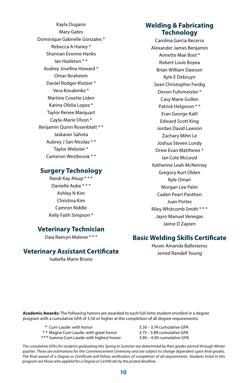Kayla Dugano Mary Gates Dominique Gabrielle Gonzales \* Rebecca A Haney \* Shannan Evonne Hanks Ian Hazleton \* \* Audrey Josefina Howard \* Omar Ibraheem Daniel Rodger Klotzer \* Vera Kovalenko \* Martine Cosette Liden Karina Ofelia Lopez \* Taylor Renee Marquart Cayla-Marie Olson \* Benjamin Quinn Rosenblatt \* \* Jaskaran Sahota Aubrey J San Nicolas \* \* Taylor Webster \* Cameron Westbrook \* \* **Surgery Technology**

Randi Kay Alsup \* \* \* Danielle Aube \* \* \* Ashley N Kim Christina Kim Camron Riddle Kelly Faith Simpson \*

#### **Veterinary Technician**

Daia Raevyn Malone \* \* \*

#### **Veterinary Assistant Certificate**

Isabella Marie Bruno

#### **Welding & Fabricating Technology**

Carolina Garcia Becerra Alexander James Benjamin Annette Mae Bost \* Robert Louis Boyea Brian William Dawson Kyle E Debruyn Sean Christopher Ferdig Devon Fuhrmeister \* Casy Marie Gollen Patrick Helgeson \* \* Eran George Kalil Edward Scott King Jordan David Lawson Zachary Mihn Le Joshua Steven Lundy Drew Evan Matthews \* Ian Cole McLeod Katherine Leah McNerney Gregory Kurt Olden Kyle Oman Morgan Lee Palm Caden Peart Panthen Juan Portes Riley Whitcomb Smith \* \* \* Jayro Manuel Venegas Jaime D Zapien

#### **Basic Welding Skills Certificate**

Huver Amanda Ballesteros Jerred Randall Young

**Academic Awards:** The following honors are awarded to each full-time student enrolled in a degree program with a cumulative GPA of 3.50 or higher at the completion of all degree requirements:

- **\*** Cum Laude: with honor 3.50 3.74 cumulative GPA
- **\* \*** Magna Cum Laude: with great honor 3.75 3.89 cumulative GPA
- **\*\*\*** Summa Cum Laude: with highest honor 3.90 4.00 cumulative GPA

*The cumulative GPAs for students graduating this Spring or Summer are determined by their grades earned through Winter quarter. These are estimations for the Commencement Ceremony and are subject to change dependent upon final grades. The final award of a Degree or Certificate will follow verification of completion of all requirements. Students listed in this program are those who applied for a Degree or Certificate by the posted deadline.*